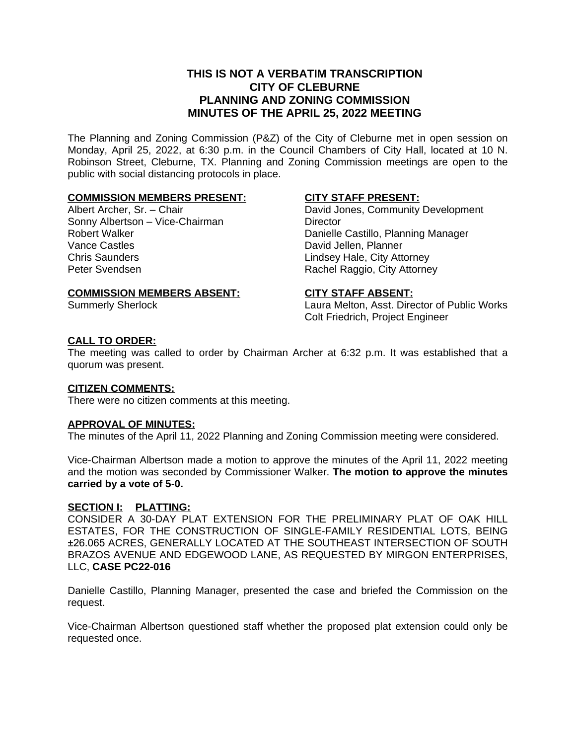## **THIS IS NOT A VERBATIM TRANSCRIPTION CITY OF CLEBURNE PLANNING AND ZONING COMMISSION MINUTES OF THE APRIL 25, 2022 MEETING**

The Planning and Zoning Commission (P&Z) of the City of Cleburne met in open session on Monday, April 25, 2022, at 6:30 p.m. in the Council Chambers of City Hall, located at 10 N. Robinson Street, Cleburne, TX. Planning and Zoning Commission meetings are open to the public with social distancing protocols in place.

#### **COMMISSION MEMBERS PRESENT:**

Albert Archer, Sr. – Chair Sonny Albertson – Vice-Chairman Robert Walker Vance Castles Chris Saunders Peter Svendsen

#### **CITY STAFF PRESENT:**

David Jones, Community Development **Director** Danielle Castillo, Planning Manager David Jellen, Planner Lindsey Hale, City Attorney Rachel Raggio, City Attorney

## **COMMISSION MEMBERS ABSENT:**

Summerly Sherlock

#### **CITY STAFF ABSENT:**

Laura Melton, Asst. Director of Public Works Colt Friedrich, Project Engineer

## **CALL TO ORDER:**

The meeting was called to order by Chairman Archer at 6:32 p.m. It was established that a quorum was present.

#### **CITIZEN COMMENTS:**

There were no citizen comments at this meeting.

#### **APPROVAL OF MINUTES:**

The minutes of the April 11, 2022 Planning and Zoning Commission meeting were considered.

Vice-Chairman Albertson made a motion to approve the minutes of the April 11, 2022 meeting and the motion was seconded by Commissioner Walker. **The motion to approve the minutes carried by a vote of 5-0.**

#### **SECTION I: PLATTING:**

CONSIDER A 30-DAY PLAT EXTENSION FOR THE PRELIMINARY PLAT OF OAK HILL ESTATES, FOR THE CONSTRUCTION OF SINGLE-FAMILY RESIDENTIAL LOTS, BEING ±26.065 ACRES, GENERALLY LOCATED AT THE SOUTHEAST INTERSECTION OF SOUTH BRAZOS AVENUE AND EDGEWOOD LANE, AS REQUESTED BY MIRGON ENTERPRISES, LLC, **CASE PC22-016**

Danielle Castillo, Planning Manager, presented the case and briefed the Commission on the request.

Vice-Chairman Albertson questioned staff whether the proposed plat extension could only be requested once.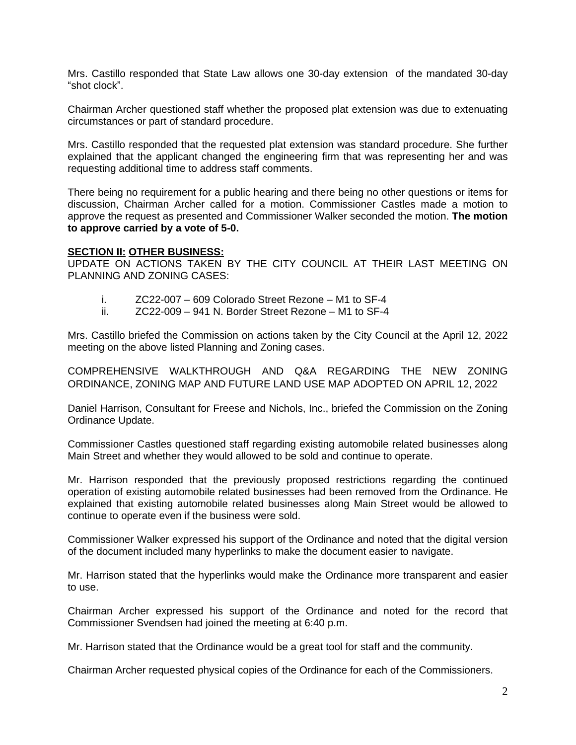Mrs. Castillo responded that State Law allows one 30-day extension of the mandated 30-day "shot clock".

Chairman Archer questioned staff whether the proposed plat extension was due to extenuating circumstances or part of standard procedure.

Mrs. Castillo responded that the requested plat extension was standard procedure. She further explained that the applicant changed the engineering firm that was representing her and was requesting additional time to address staff comments.

There being no requirement for a public hearing and there being no other questions or items for discussion, Chairman Archer called for a motion. Commissioner Castles made a motion to approve the request as presented and Commissioner Walker seconded the motion. **The motion to approve carried by a vote of 5-0.**

#### **SECTION II: OTHER BUSINESS:**

UPDATE ON ACTIONS TAKEN BY THE CITY COUNCIL AT THEIR LAST MEETING ON PLANNING AND ZONING CASES:

- i. ZC22-007 609 Colorado Street Rezone M1 to SF-4
- ii. ZC22-009 941 N. Border Street Rezone M1 to SF-4

Mrs. Castillo briefed the Commission on actions taken by the City Council at the April 12, 2022 meeting on the above listed Planning and Zoning cases.

COMPREHENSIVE WALKTHROUGH AND Q&A REGARDING THE NEW ZONING ORDINANCE, ZONING MAP AND FUTURE LAND USE MAP ADOPTED ON APRIL 12, 2022

Daniel Harrison, Consultant for Freese and Nichols, Inc., briefed the Commission on the Zoning Ordinance Update.

Commissioner Castles questioned staff regarding existing automobile related businesses along Main Street and whether they would allowed to be sold and continue to operate.

Mr. Harrison responded that the previously proposed restrictions regarding the continued operation of existing automobile related businesses had been removed from the Ordinance. He explained that existing automobile related businesses along Main Street would be allowed to continue to operate even if the business were sold.

Commissioner Walker expressed his support of the Ordinance and noted that the digital version of the document included many hyperlinks to make the document easier to navigate.

Mr. Harrison stated that the hyperlinks would make the Ordinance more transparent and easier to use.

Chairman Archer expressed his support of the Ordinance and noted for the record that Commissioner Svendsen had joined the meeting at 6:40 p.m.

Mr. Harrison stated that the Ordinance would be a great tool for staff and the community.

Chairman Archer requested physical copies of the Ordinance for each of the Commissioners.